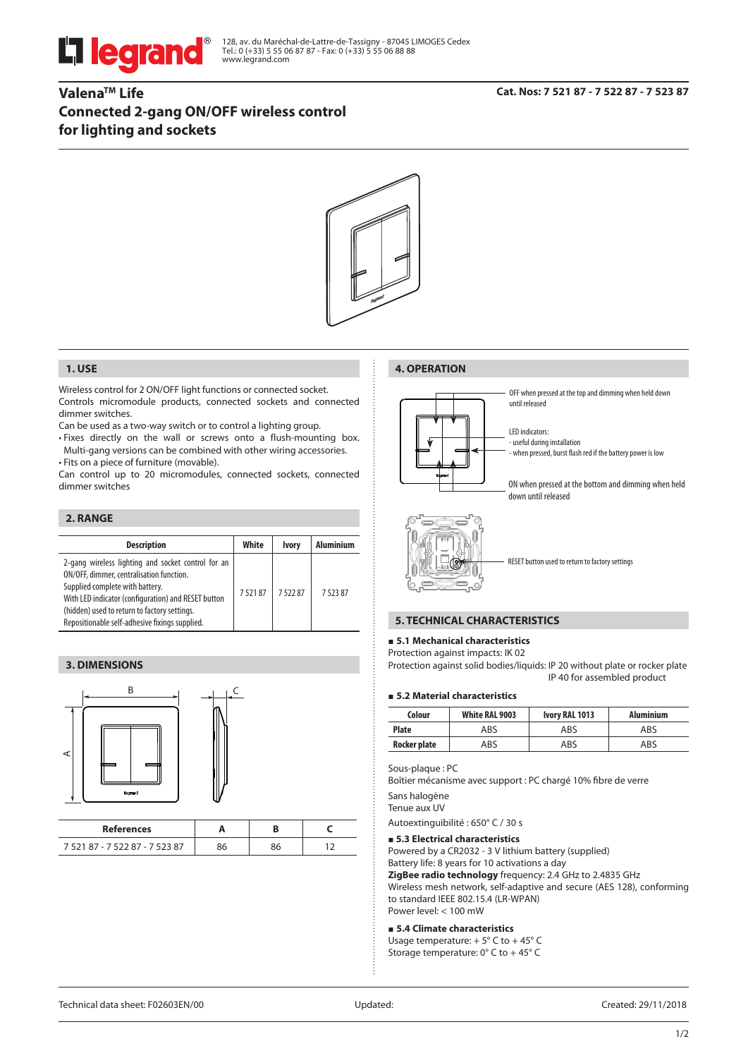

128, av. du Maréchal-de-Lattre-de-Tassigny - 87045 LIMOGES Cedex Tel.: 0 (+33) 5 55 06 87 87 - Fax: 0 (+33) 5 55 06 88 88 www.legrand.com

# **ValenaTM Life Connected 2-gang ON/OFF wireless control for lighting and sockets**



#### **1. USE**

Wireless control for 2 ON/OFF light functions or connected socket. Controls micromodule products, connected sockets and connected dimmer switches.

Can be used as a two-way switch or to control a lighting group.

• Fixes directly on the wall or screws onto a flush-mounting box. Multi-gang versions can be combined with other wiring accessories. • Fits on a piece of furniture (movable).

Can control up to 20 micromodules, connected sockets, connected dimmer switches

## **2. RANGE**

| <b>Description</b>                                                                                                                                                                                                                                                                         | White  | <b>Ivory</b> | Aluminium |
|--------------------------------------------------------------------------------------------------------------------------------------------------------------------------------------------------------------------------------------------------------------------------------------------|--------|--------------|-----------|
| 2-gang wireless lighting and socket control for an<br>ON/OFF, dimmer, centralisation function.<br>Supplied complete with battery.<br>With LED indicator (configuration) and RESET button<br>(hidden) used to return to factory settings.<br>Repositionable self-adhesive fixings supplied. | 752187 | 752287       | 752387    |

## **3. DIMENSIONS**



| References                     |    |  |
|--------------------------------|----|--|
| 7 521 87 - 7 522 87 - 7 523 87 | эc |  |

## **4. OPERATION**



OFF when pressed at the top and dimming when held down until released

LED indicators: - useful during installation

- when pressed, burst flash red if the battery power is low

ON when pressed at the bottom and dimming when held down until released



RESET button used to return to factory settings

## **5. TECHNICAL CHARACTERISTICS**

#### **5.1 Mechanical characteristics**

Protection against impacts: IK 02

Protection against solid bodies/liquids: IP 20 without plate or rocker plate IP 40 for assembled product

### **5.2 Material characteristics**

| Colour       | White RAL 9003 | Ivory RAL 1013 | <b>Aluminium</b> |
|--------------|----------------|----------------|------------------|
| Plate        | ABS            | ABS            | ABS              |
| Rocker plate | ABS            | ABS            | ABS              |

Sous-plaque : PC

Boîtier mécanisme avec support : PC chargé 10% fibre de verre Sans halogène

Tenue aux UV

Autoextinguibilité : 650° C / 30 s

#### **5.3 Electrical characteristics**

Powered by a CR2032 - 3 V lithium battery (supplied)

Battery life: 8 years for 10 activations a day

**ZigBee radio technology** frequency: 2.4 GHz to 2.4835 GHz

Wireless mesh network, self-adaptive and secure (AES 128), conforming to standard IEEE 802.15.4 (LR-WPAN) Power level: < 100 mW

#### **5.4 Climate characteristics**

Usage temperature:  $+5^{\circ}$  C to  $+45^{\circ}$  C Storage temperature: 0° C to + 45° C